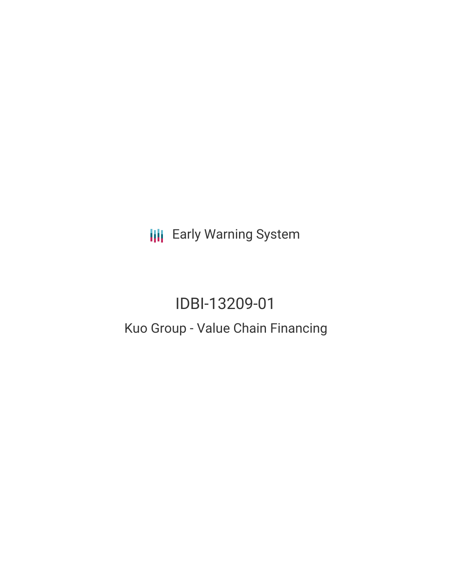**III** Early Warning System

# IDBI-13209-01 Kuo Group - Value Chain Financing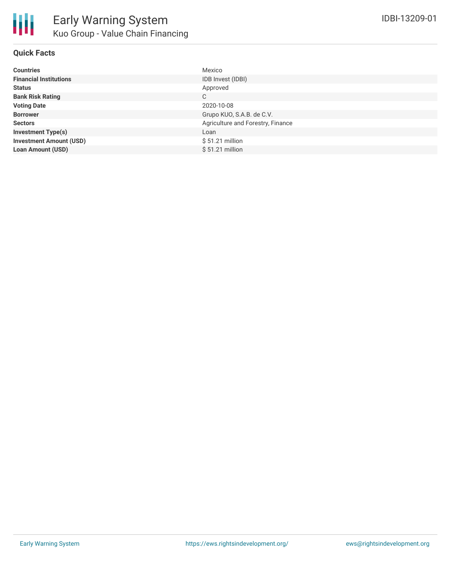

## **Quick Facts**

| <b>Countries</b>               | Mexico                            |
|--------------------------------|-----------------------------------|
| <b>Financial Institutions</b>  | IDB Invest (IDBI)                 |
| <b>Status</b>                  | Approved                          |
| <b>Bank Risk Rating</b>        | C                                 |
| <b>Voting Date</b>             | 2020-10-08                        |
| <b>Borrower</b>                | Grupo KUO, S.A.B. de C.V.         |
| <b>Sectors</b>                 | Agriculture and Forestry, Finance |
| <b>Investment Type(s)</b>      | Loan                              |
| <b>Investment Amount (USD)</b> | $$51.21$ million                  |
| <b>Loan Amount (USD)</b>       | $$51.21$ million                  |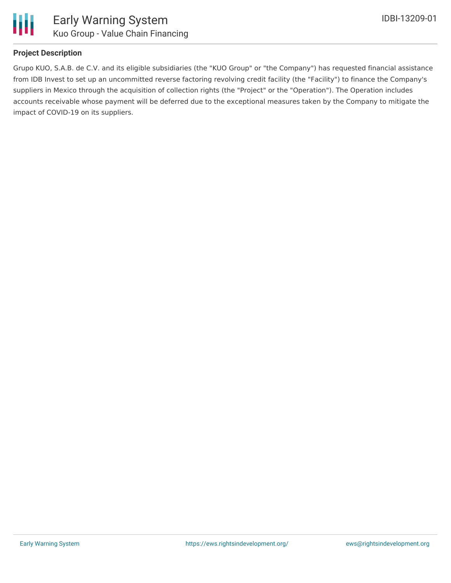

# **Project Description**

Grupo KUO, S.A.B. de C.V. and its eligible subsidiaries (the "KUO Group" or "the Company") has requested financial assistance from IDB Invest to set up an uncommitted reverse factoring revolving credit facility (the "Facility") to finance the Company's suppliers in Mexico through the acquisition of collection rights (the "Project" or the "Operation"). The Operation includes accounts receivable whose payment will be deferred due to the exceptional measures taken by the Company to mitigate the impact of COVID-19 on its suppliers.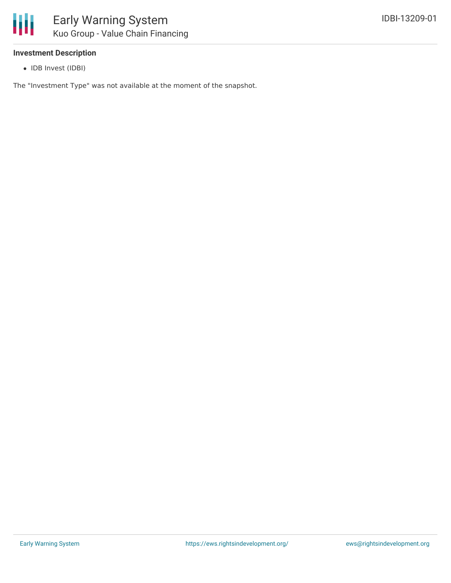## **Investment Description**

• IDB Invest (IDBI)

The "Investment Type" was not available at the moment of the snapshot.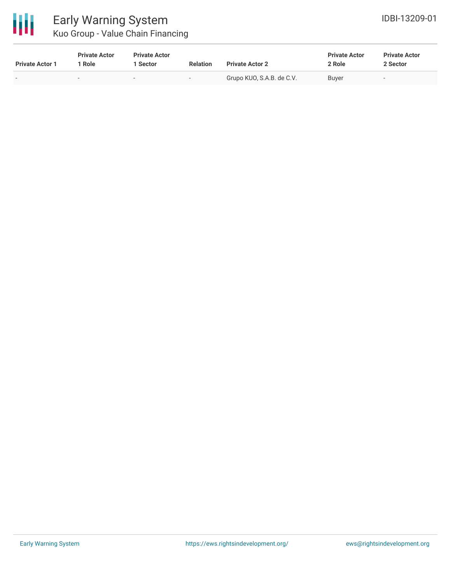

| <b>Private Actor 1</b> | <b>Private Actor</b><br>Role | <b>Private Actor</b><br>1 Sector | <b>Relation</b>          | <b>Private Actor 2</b>    | <b>Private Actor</b><br>2 Role | <b>Private Actor</b><br>2 Sector |  |
|------------------------|------------------------------|----------------------------------|--------------------------|---------------------------|--------------------------------|----------------------------------|--|
|                        |                              | $\overline{\phantom{0}}$         | $\overline{\phantom{0}}$ | Grupo KUO, S.A.B. de C.V. | Buyer                          | $\overline{\phantom{0}}$         |  |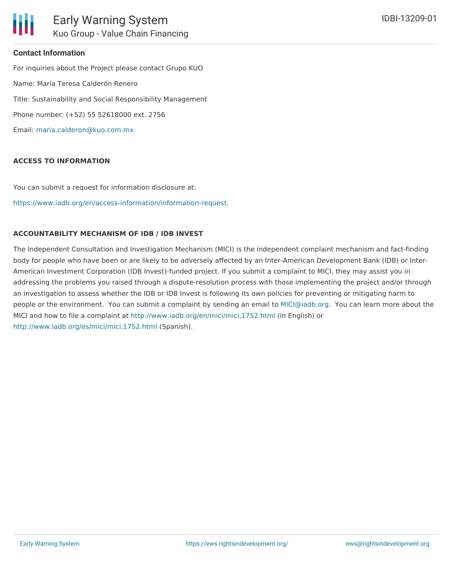## **Contact Information**

For inquiries about the Project please contact Grupo KUO Name: María Teresa Calderón Renero Title: Sustainability and Social Responsibility Management Phone number: (+52) 55 52618000 ext. 2756 Email: [maria.calderon@kuo.com.mx](mailto:maria.calderon@kuo.com.mx)

#### **ACCESS TO INFORMATION**

You can submit a request for information disclosure at:

[https://www.iadb.org/en/access-information/information-request.](https://www.iadb.org/en/access-information/information-request)

#### **ACCOUNTABILITY MECHANISM OF IDB / IDB INVEST**

The Independent Consultation and Investigation Mechanism (MICI) is the independent complaint mechanism and fact-finding body for people who have been or are likely to be adversely affected by an Inter-American Development Bank (IDB) or Inter-American Investment Corporation (IDB Invest)-funded project. If you submit a complaint to MICI, they may assist you in addressing the problems you raised through a dispute-resolution process with those implementing the project and/or through an investigation to assess whether the IDB or IDB Invest is following its own policies for preventing or mitigating harm to people or the environment. You can submit a complaint by sending an email to [MICI@iadb.org](mailto:MICI@iadb.org). You can learn more about the MICI and how to file a complaint at <http://www.iadb.org/en/mici/mici,1752.html> (in English) or <http://www.iadb.org/es/mici/mici,1752.html> (Spanish).